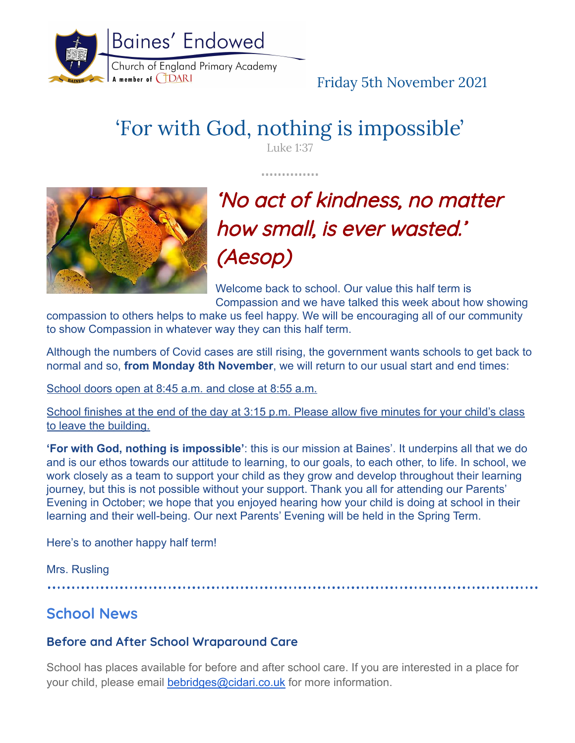

# Friday 5th November 2021

# 'For with God, nothing is impossible'

Luke 1:37

. . . . . . . . . . . .



# 'No act of kindness, no matter how small, is ever wasted.' (Aesop)

Welcome back to school. Our value this half term is Compassion and we have talked this week about how showing

compassion to others helps to make us feel happy. We will be encouraging all of our community to show Compassion in whatever way they can this half term.

Although the numbers of Covid cases are still rising, the government wants schools to get back to normal and so, **from Monday 8th November**, we will return to our usual start and end times:

School doors open at 8:45 a.m. and close at 8:55 a.m.

School finishes at the end of the day at 3:15 p.m. Please allow five minutes for your child's class to leave the building.

**'For with God, nothing is impossible'**: this is our mission at Baines'. It underpins all that we do and is our ethos towards our attitude to learning, to our goals, to each other, to life. In school, we work closely as a team to support your child as they grow and develop throughout their learning journey, but this is not possible without your support. Thank you all for attending our Parents' Evening in October; we hope that you enjoyed hearing how your child is doing at school in their learning and their well-being. Our next Parents' Evening will be held in the Spring Term.

Here's to another happy half term!

Mrs. Rusling

# **School News**

## **Before and After School Wraparound Care**

School has places available for before and after school care. If you are interested in a place for your child, please email [bebridges@cidari.co.uk](mailto:bebridges@cidari.co.uk) for more information.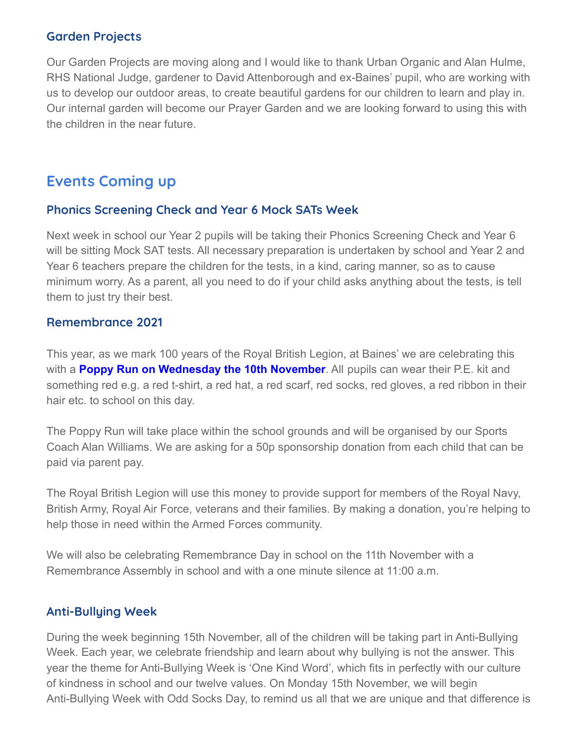#### **Garden Projects**

Our Garden Projects are moving along and I would like to thank Urban Organic and Alan Hulme, RHS National Judge, gardener to David Attenborough and ex-Baines' pupil, who are working with us to develop our outdoor areas, to create beautiful gardens for our children to learn and play in. Our internal garden will become our Prayer Garden and we are looking forward to using this with the children in the near future.

# **Events Coming up**

#### **Phonics Screening Check and Year 6 Mock SATs Week**

Next week in school our Year 2 pupils will be taking their Phonics Screening Check and Year 6 will be sitting Mock SAT tests. All necessary preparation is undertaken by school and Year 2 and Year 6 teachers prepare the children for the tests, in a kind, caring manner, so as to cause minimum worry. As a parent, all you need to do if your child asks anything about the tests, is tell them to just try their best.

#### **Remembrance 2021**

This year, as we mark 100 years of the Royal British Legion, at Baines' we are celebrating this with a **[Poppy](https://www.britishlegion.org.uk/get-involved/poppy-appeal) Run on Wednesday the 10th November**. All pupils can wear their P.E. kit and something red e.g. a red t-shirt, a red hat, a red scarf, red socks, red gloves, a red ribbon in their hair etc. to school on this day.

The Poppy Run will take place within the school grounds and will be organised by our Sports Coach Alan Williams. We are asking for a 50p sponsorship donation from each child that can be paid via parent pay.

The Royal British Legion will use this money to provide support for members of the Royal Navy, British Army, Royal Air Force, veterans and their families. By making a donation, you're helping to help those in need within the Armed Forces community.

We will also be celebrating Remembrance Day in school on the 11th November with a Remembrance Assembly in school and with a one minute silence at 11:00 a.m.

#### **Anti-Bullying Week**

During the week beginning 15th November, all of the children will be taking part in Anti-Bullying Week. Each year, we celebrate friendship and learn about why bullying is not the answer. This year the theme for Anti-Bullying Week is 'One Kind Word', which fits in perfectly with our culture of kindness in school and our twelve values. On Monday 15th November, we will begin Anti-Bullying Week with Odd Socks Day, to remind us all that we are unique and that difference is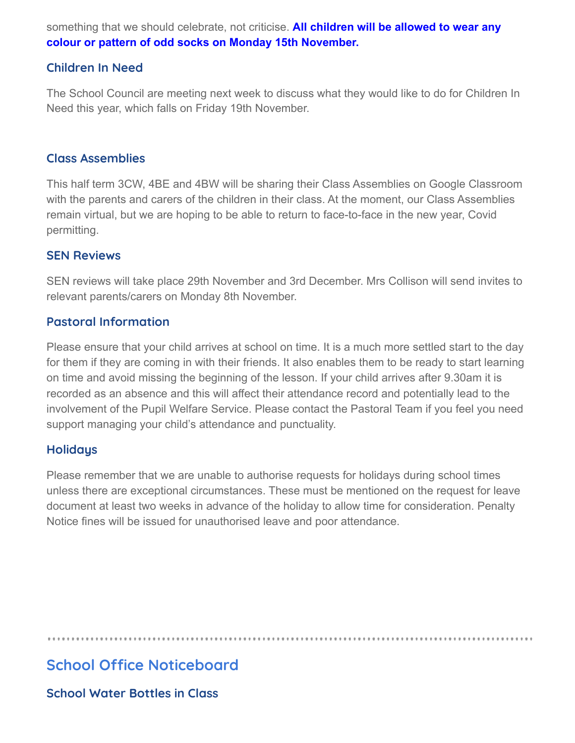something that we should celebrate, not criticise. **All children will be allowed to wear any colour or pattern of odd socks on Monday 15th November.**

#### **Children In Need**

The School Council are meeting next week to discuss what they would like to do for Children In Need this year, which falls on Friday 19th November.

#### **Class Assemblies**

This half term 3CW, 4BE and 4BW will be sharing their Class Assemblies on Google Classroom with the parents and carers of the children in their class. At the moment, our Class Assemblies remain virtual, but we are hoping to be able to return to face-to-face in the new year, Covid permitting.

#### **SEN Reviews**

SEN reviews will take place 29th November and 3rd December. Mrs Collison will send invites to relevant parents/carers on Monday 8th November.

#### **Pastoral Information**

Please ensure that your child arrives at school on time. It is a much more settled start to the day for them if they are coming in with their friends. It also enables them to be ready to start learning on time and avoid missing the beginning of the lesson. If your child arrives after 9.30am it is recorded as an absence and this will affect their attendance record and potentially lead to the involvement of the Pupil Welfare Service. Please contact the Pastoral Team if you feel you need support managing your child's attendance and punctuality.

#### **Holidays**

Please remember that we are unable to authorise requests for holidays during school times unless there are exceptional circumstances. These must be mentioned on the request for leave document at least two weeks in advance of the holiday to allow time for consideration. Penalty Notice fines will be issued for unauthorised leave and poor attendance.

# **School Office Noticeboard**

**School Water Bottles in Class**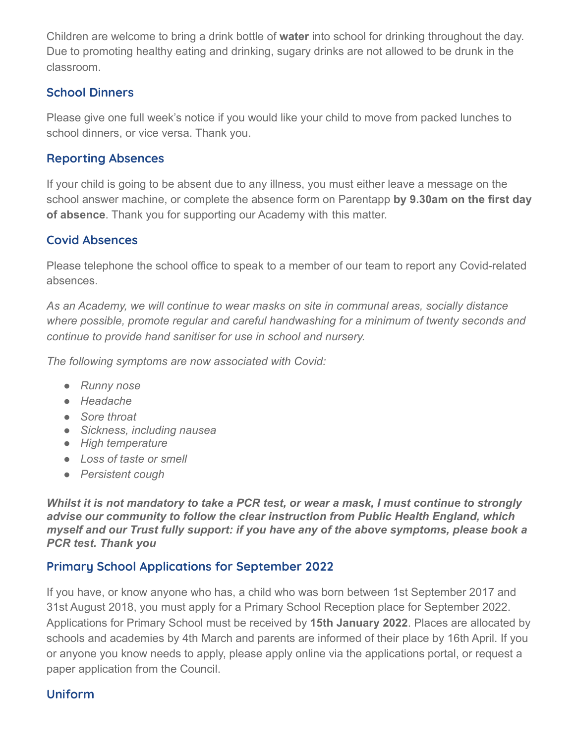Children are welcome to bring a drink bottle of **water** into school for drinking throughout the day. Due to promoting healthy eating and drinking, sugary drinks are not allowed to be drunk in the classroom.

### **School Dinners**

Please give one full week's notice if you would like your child to move from packed lunches to school dinners, or vice versa. Thank you.

## **Reporting Absences**

If your child is going to be absent due to any illness, you must either leave a message on the school answer machine, or complete the absence form on Parentapp **by 9.30am on the first day of absence**. Thank you for supporting our Academy with this matter.

## **Covid Absences**

Please telephone the school office to speak to a member of our team to report any Covid-related absences.

*As an Academy, we will continue to wear masks on site in communal areas, socially distance where possible, promote regular and careful handwashing for a minimum of twenty seconds and continue to provide hand sanitiser for use in school and nursery.*

*The following symptoms are now associated with Covid:*

- *● Runny nose*
- *● Headache*
- *● Sore throat*
- *● Sickness, including nausea*
- *● High temperature*
- *● Loss of taste or smell*
- *● Persistent cough*

*Whilst it is not mandatory to take a PCR test, or wear a mask, I must continue to strongly advise our community to follow the clear instruction from Public Health England, which myself and our Trust fully support: if you have any of the above symptoms, please book a PCR test. Thank you*

## **Primary School Applications for September 2022**

If you have, or know anyone who has, a child who was born between 1st September 2017 and 31st August 2018, you must apply for a Primary School Reception place for September 2022. Applications for Primary School must be received by **15th January 2022**. Places are allocated by schools and academies by 4th March and parents are informed of their place by 16th April. If you or anyone you know needs to apply, please apply online via the applications portal, or request a paper application from the Council.

## **Uniform**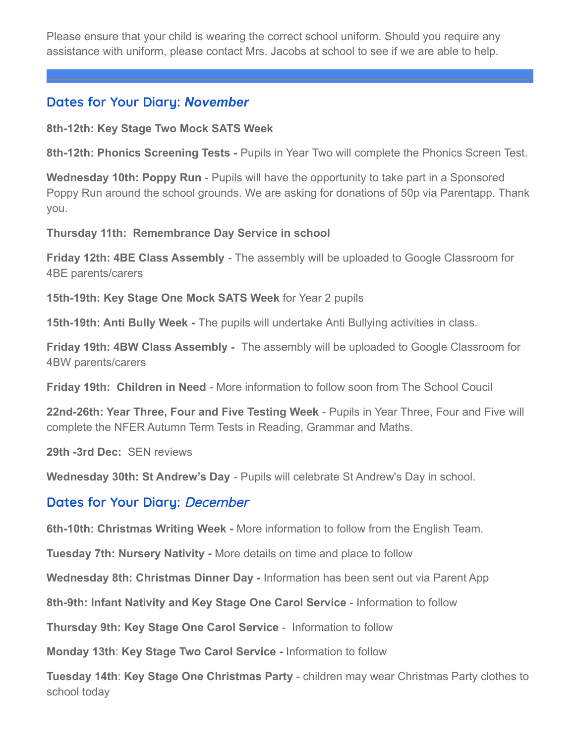Please ensure that your child is wearing the correct school uniform. Should you require any assistance with uniform, please contact Mrs. Jacobs at school to see if we are able to help.

## **Dates for Your Diary:** *November*

**8th-12th: Key Stage Two Mock SATS Week**

**8th-12th: Phonics Screening Tests -** Pupils in Year Two will complete the Phonics Screen Test.

**Wednesday 10th: Poppy Run** - Pupils will have the opportunity to take part in a Sponsored Poppy Run around the school grounds. We are asking for donations of 50p via Parentapp. Thank you.

**Thursday 11th: Remembrance Day Service in school**

**Friday 12th: 4BE Class Assembly** - The assembly will be uploaded to Google Classroom for 4BE parents/carers

**15th-19th: Key Stage One Mock SATS Week** for Year 2 pupils

**15th-19th: Anti Bully Week -** The pupils will undertake Anti Bullying activities in class.

**Friday 19th: 4BW Class Assembly -** The assembly will be uploaded to Google Classroom for 4BW parents/carers

**Friday 19th: Children in Need** - More information to follow soon from The School Coucil

**22nd-26th: Year Three, Four and Five Testing Week** - Pupils in Year Three, Four and Five will complete the NFER Autumn Term Tests in Reading, Grammar and Maths.

**29th -3rd Dec:** SEN reviews

**Wednesday 30th: St Andrew's Day** - Pupils will celebrate St Andrew's Day in school.

### **Dates for Your Diary:** December

**6th-10th: Christmas Writing Week -** More information to follow from the English Team.

**Tuesday 7th: Nursery Nativity -** More details on time and place to follow

**Wednesday 8th: Christmas Dinner Day -** Information has been sent out via Parent App

**8th-9th: Infant Nativity and Key Stage One Carol Service** - Information to follow

**Thursday 9th: Key Stage One Carol Service** - Information to follow

**Monday 13th**: **Key Stage Two Carol Service -** Information to follow

**Tuesday 14th**: **Key Stage One Christmas Party** - children may wear Christmas Party clothes to school today